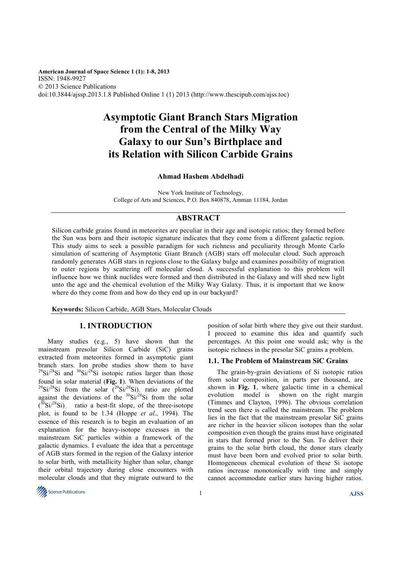**American Journal of Space Science 1 (1): 1-8, 2013**  ISSN: 1948-9927 © 2013 Science Publications doi:10.3844/ajssp.2013.1.8 Published Online 1 (1) 2013 (http://www.thescipub.com/ajss.toc)

# **Asymptotic Giant Branch Stars Migration from the Central of the Milky Way Galaxy to our Sun's Birthplace and its Relation with Silicon Carbide Grains**

#### **Ahmad Hashem Abdelhadi**

New York Institute of Technology, College of Arts and Sciences, P.O. Box 840878, Amman 11184, Jordan

# **ABSTRACT**

Silicon carbide grains found in meteorites are peculiar in their age and isotopic ratios; they formed before the Sun was born and their isotopic signature indicates that they come from a different galactic region. This study aims to seek a possible paradigm for such richness and peculiarity through Monte Carlo simulation of scattering of Asymptotic Giant Branch (AGB) stars off molecular cloud. Such approach randomly generates AGB stars in regions close to the Galaxy bulge and examines possibility of migration to outer regions by scattering off molecular cloud. A successful explanation to this problem will influence how we think nuclides were formed and then distributed in the Galaxy and will shed new light unto the age and the chemical evolution of the Milky Way Galaxy. Thus, it is important that we know where do they come from and how do they end up in our backyard?

**Keywords:** Silicon Carbide, AGB Stars, Molecular Clouds

## **1. INTRODUCTION**

Many studies (e.g., 5) have shown that the mainstream presolar Silicon Carbide (SiC) grains extracted from meteorites formed in asymptotic giant branch stars. Ion probe studies show them to have  $^{29}Si/^{28}Si$  and  $^{30}Si/^{28}Si$  isotopic ratios larger than those found in solar material (**Fig. 1**). When deviations of the  $^{29}Si/^{28}Si$  from the solar  $(^{29}Si/^{28}Si)_{\circ}$  ratio are plotted against the deviations of the  $30\text{Si}/28\text{Si}$  from the solar  $({}^{30}\text{Si}/{}^{28}\text{Si})_{\circ}$  ratio a best-fit slope, of the three-isotope plot, is found to be 1.34 (Hoppe *et al*., 1994). The essence of this research is to begin an evaluation of an explanation for the heavy-isotope excesses in the mainstream SiC particles within a framework of the galactic dynamics. I evaluate the idea that a percentage of AGB stars formed in the region of the Galaxy interior to solar birth, with metallicity higher than solar, change their orbital trajectory during close encounters with molecular clouds and that they migrate outward to the

position of solar birth where they give out their stardust. I proceed to examine this idea and quantify such percentages. At this point one would ask; why is the isotopic richness in the presolar SiC grains a problem.

# **1.1. The Problem of Mainstream SiC Grains**

The grain-by-grain deviations of Si isotopic ratios from solar composition, in parts per thousand, are shown in **Fig. 1**, where galactic time in a chemical evolution model is shown on the right margin (Timmes and Clayton, 1996). The obvious correlation trend seen there is called the mainstream. The problem lies in the fact that the mainstream presolar SiC grains are richer in the heavier silicon isotopes than the solar composition even though the grains must have originated in stars that formed prior to the Sun. To deliver their grains to the solar birth cloud, the donor stars clearly must have been born and evolved prior to solar birth. Homogeneous chemical evolution of these Si isotope ratios increase monotonically with time and simply cannot accommodate earlier stars having higher ratios.

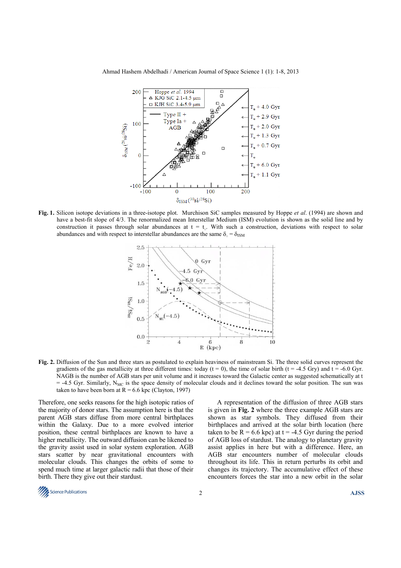



**Fig. 1.** Silicon isotope deviations in a three-isotope plot. Murchison SiC samples measured by Hoppe *et al*. (1994) are shown and have a best-fit slope of 4/3. The renormalized mean Interstellar Medium (ISM) evolution is shown as the solid line and by construction it passes through solar abundances at  $t = t_0$ . With such a construction, deviations with respect to solar abundances and with respect to interstellar abundances are the same  $\delta_{\circ} = \delta_{ISM}$ 



**Fig. 2.** Diffusion of the Sun and three stars as postulated to explain heaviness of mainstream Si. The three solid curves represent the gradients of the gas metallicity at three different times: today (t = 0), the time of solar birth (t = -4.5 Gry) and t = -6.0 Gyr. NAGB is the number of AGB stars per unit volume and it increases toward the Galactic center as suggested schematically at t  $=$  -4.5 Gyr. Similarly, N<sub>MC</sub> is the space density of molecular clouds and it declines toward the solar position. The sun was taken to have been born at  $R = 6.6$  kpc (Clayton, 1997)

Therefore, one seeks reasons for the high isotopic ratios of the majority of donor stars. The assumption here is that the parent AGB stars diffuse from more central birthplaces within the Galaxy. Due to a more evolved interior position, these central birthplaces are known to have a higher metallicity. The outward diffusion can be likened to the gravity assist used in solar system exploration. AGB stars scatter by near gravitational encounters with molecular clouds. This changes the orbits of some to spend much time at larger galactic radii that those of their birth. There they give out their stardust.

A representation of the diffusion of three AGB stars is given in **Fig. 2** where the three example AGB stars are shown as star symbols. They diffused from their birthplaces and arrived at the solar birth location (here taken to be  $R = 6.6$  kpc) at t = -4.5 Gyr during the period of AGB loss of stardust. The analogy to planetary gravity assist applies in here but with a difference. Here, an AGB star encounters number of molecular clouds throughout its life. This in return perturbs its orbit and changes its trajectory. The accumulative effect of these encounters forces the star into a new orbit in the solar

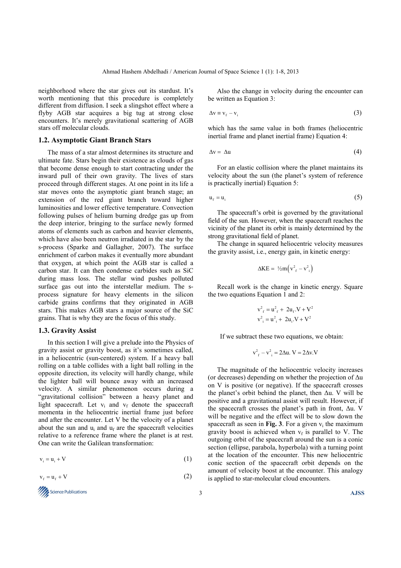neighborhood where the star gives out its stardust. It's worth mentioning that this procedure is completely different from diffusion. I seek a slingshot effect where a flyby AGB star acquires a big tug at strong close encounters. It's merely gravitational scattering of AGB stars off molecular clouds.

## **1.2. Asymptotic Giant Branch Stars**

The mass of a star almost determines its structure and ultimate fate. Stars begin their existence as clouds of gas that become dense enough to start contracting under the inward pull of their own gravity. The lives of stars proceed through different stages. At one point in its life a star moves onto the asymptotic giant branch stage; an extension of the red giant branch toward higher luminosities and lower effective temperature. Convection following pulses of helium burning dredge gas up from the deep interior, bringing to the surface newly formed atoms of elements such as carbon and heavier elements, which have also been neutron irradiated in the star by the s-process (Sparke and Gallagher, 2007). The surface enrichment of carbon makes it eventually more abundant that oxygen, at which point the AGB star is called a carbon star. It can then condense carbides such as SiC during mass loss. The stellar wind pushes polluted surface gas out into the interstellar medium. The sprocess signature for heavy elements in the silicon carbide grains confirms that they originated in AGB stars. This makes AGB stars a major source of the SiC grains. That is why they are the focus of this study.

## **1.3. Gravity Assist**

In this section I will give a prelude into the Physics of gravity assist or gravity boost, as it's sometimes called, in a heliocentric (sun-centered) system. If a heavy ball rolling on a table collides with a light ball rolling in the opposite direction, its velocity will hardly change, while the lighter ball will bounce away with an increased velocity. A similar phenomenon occurs during a "gravitational collision" between a heavy planet and light spacecraft. Let  $v_i$  and  $v_f$  denote the spacecraft momenta in the heliocentric inertial frame just before and after the encounter. Let V be the velocity of a planet about the sun and  $u_i$  and  $u_f$  are the spacecraft velocities relative to a reference frame where the planet is at rest. One can write the Galilean transformation:

$$
v_i = u_i + V \tag{1}
$$

$$
v_{f} = u_{f} + V \tag{2}
$$

$$
\frac{\text{M}}{\text{M}}
$$
 Science Publications\n
$$
3
$$

Also the change in velocity during the encounter can be written as Equation 3:

$$
\Delta v \equiv v_f - v_i \tag{3}
$$

which has the same value in both frames (heliocentric inertial frame and planet inertial frame) Equation 4:

$$
\Delta v = \Delta u \tag{4}
$$

For an elastic collision where the planet maintains its velocity about the sun (the planet's system of reference is practically inertial) Equation 5:

$$
\mathbf{u}_{\mathrm{f}} = \mathbf{u}_{\mathrm{i}} \tag{5}
$$

The spacecraft's orbit is governed by the gravitational field of the sun. However, when the spacecraft reaches the vicinity of the planet its orbit is mainly determined by the strong gravitational field of planet.

The change in squared heliocentric velocity measures the gravity assist, i.e., energy gain, in kinetic energy:

$$
\Delta KE = \frac{1}{2}m(v_{f}^{2} - v_{i}^{2})
$$

Recall work is the change in kinetic energy. Square the two equations Equation 1 and 2:

$$
v_{f}^{2} = u_{f}^{2} + 2u_{f}.V + V^{2}
$$

$$
v_{i}^{2} = u_{i}^{2} + 2u_{i}.V + V^{2}
$$

If we subtract these two equations, we obtain:

$$
v_{f}^{2} - v_{i}^{2} = 2\Delta u. \ V = 2\Delta v. V
$$

The magnitude of the heliocentric velocity increases (or decreases) depending on whether the projection of ∆u on V is positive (or negative). If the spacecraft crosses the planet's orbit behind the planet, then ∆u. V will be positive and a gravitational assist will result. However, if the spacecraft crosses the planet's path in front, ∆u. V will be negative and the effect will be to slow down the spacecraft as seen in **Fig. 3**. For a given  $v_i$  the maximum gravity boost is achieved when  $v_f$  is parallel to V. The outgoing orbit of the spacecraft around the sun is a conic section (ellipse, parabola, hyperbola) with a turning point at the location of the encounter. This new heliocentric conic section of the spacecraft orbit depends on the amount of velocity boost at the encounter. This analogy is applied to star-molecular cloud encounters.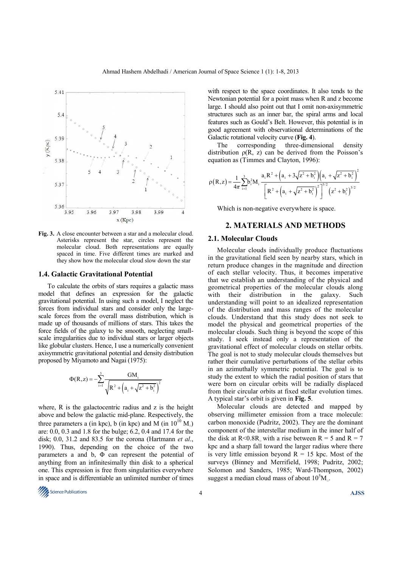

**Fig. 3.** A close encounter between a star and a molecular cloud. Asterisks represent the star, circles represent the molecular cloud. Both representations are equally spaced in time. Five different times are marked and they show how the molecular cloud slow down the star

#### **1.4. Galactic Gravitational Potential**

To calculate the orbits of stars requires a galactic mass model that defines an expression for the galactic gravitational potential. In using such a model, I neglect the forces from individual stars and consider only the largescale forces from the overall mass distribution, which is made up of thousands of millions of stars. This takes the force fields of the galaxy to be smooth, neglecting smallscale irregularities due to individual stars or larger objects like globular clusters. Hence, I use a numerically convenient axisymmetric gravitational potential and density distribution proposed by Miyamoto and Nagai (1975):

$$
\Phi(R, z) = -\sum_{i=1}^{3} \frac{GM_i}{\sqrt{R^2 + \left(a_i + \sqrt{z^2 + b_i^2}\right)^2}}
$$

where, R is the galactocentric radius and z is the height above and below the galactic mid-plane. Respectively, the three parameters a (in kpc), b (in kpc) and M (in  $10^{10}$  M<sub>o</sub>) are: 0.0, 0.3 and 1.8 for the bulge; 6.2, 0.4 and 17.4 for the disk; 0.0, 31.2 and 83.5 for the corona (Hartmann *et al*., 1990). Thus, depending on the choice of the two parameters a and b, Φ can represent the potential of anything from an infinitesimally thin disk to a spherical one. This expression is free from singularities everywhere in space and is differentiable an unlimited number of times

with respect to the space coordinates. It also tends to the Newtonian potential for a point mass when R and z become large. I should also point out that I omit non-axisymmetric structures such as an inner bar, the spiral arms and local features such as Gould's Belt. However, this potential is in good agreement with observational determinations of the Galactic rotational velocity curve (**Fig. 4**).

The corresponding three-dimensional density distribution  $\rho(R, z)$  can be derived from the Poisson's equation as (Timmes and Clayton, 1996):

$$
\rho(R, z) = \frac{1}{4\pi} \sum_{i=1}^{3} b_i^2 M_i \frac{a_i R^2 + (a_i + 3\sqrt{z^2 + b_i^2})(a_i + \sqrt{z^2 + b_i^2})^2}{\left[R^2 + (a_i + \sqrt{z^2 + b_i^2})^2\right]^{5/2} (z^2 + b_i^2)^{3/2}}
$$

Which is non-negative everywhere is space.

## **2. MATERIALS AND METHODS**

#### **2.1. Molecular Clouds**

Molecular clouds individually produce fluctuations in the gravitational field seen by nearby stars, which in return produce changes in the magnitude and direction of each stellar velocity. Thus, it becomes imperative that we establish an understanding of the physical and geometrical properties of the molecular clouds along with their distribution in the galaxy. Such understanding will point to an idealized representation of the distribution and mass ranges of the molecular clouds. Understand that this study does not seek to model the physical and geometrical properties of the molecular clouds. Such thing is beyond the scope of this study. I seek instead only a representation of the gravitational effect of molecular clouds on stellar orbits. The goal is not to study molecular clouds themselves but rather their cumulative perturbations of the stellar orbits in an azimuthally symmetric potential. The goal is to study the extent to which the radial position of stars that were born on circular orbits will be radially displaced from their circular orbits at fixed stellar evolution times. A typical star's orbit is given in **Fig. 5**.

Molecular clouds are detected and mapped by observing millimeter emission from a trace molecule: carbon monoxide (Pudritz, 2002). They are the dominant component of the interstellar medium in the inner half of the disk at  $R < 0.8R_0$  with a rise between  $R = 5$  and  $R = 7$ kpc and a sharp fall toward the larger radius where there is very little emission beyond  $R = 15$  kpc. Most of the surveys (Binney and Merrifield, 1998; Pudritz, 2002; Solomon and Sanders, 1985; Ward-Thompson, 2002) suggest a median cloud mass of about  $10^5 M_{\odot}$ .

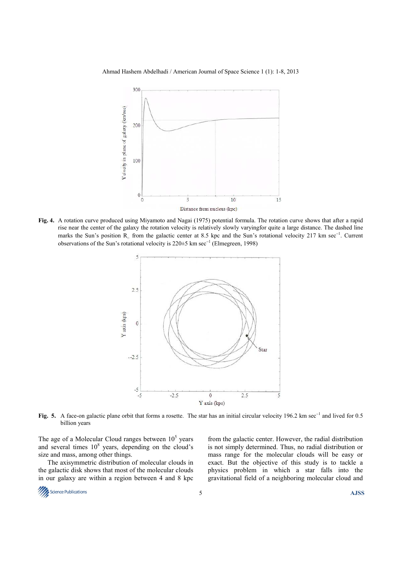Ahmad Hashem Abdelhadi / American Journal of Space Science 1 (1): 1-8, 2013



**Fig. 4.** A rotation curve produced using Miyamoto and Nagai (1975) potential formula. The rotation curve shows that after a rapid rise near the center of the galaxy the rotation velocity is relatively slowly varyingfor quite a large distance. The dashed line marks the Sun's position  $R_{\circ}$  from the galactic center at 8.5 kpc and the Sun's rotational velocity 217 km sec<sup>-1</sup>. Current observations of the Sun's rotational velocity is 220±5 km sec<sup>−</sup><sup>1</sup> (Elmegreen, 1998)



Fig. 5. A face-on galactic plane orbit that forms a rosette. The star has an initial circular velocity 196.2 km sec<sup>-1</sup> and lived for 0.5 billion years

The age of a Molecular Cloud ranges between  $10<sup>5</sup>$  years and several times  $10^8$  years, depending on the cloud's size and mass, among other things.

The axisymmetric distribution of molecular clouds in the galactic disk shows that most of the molecular clouds in our galaxy are within a region between 4 and 8 kpc from the galactic center. However, the radial distribution is not simply determined. Thus, no radial distribution or mass range for the molecular clouds will be easy or exact. But the objective of this study is to tackle a physics problem in which a star falls into the gravitational field of a neighboring molecular cloud and

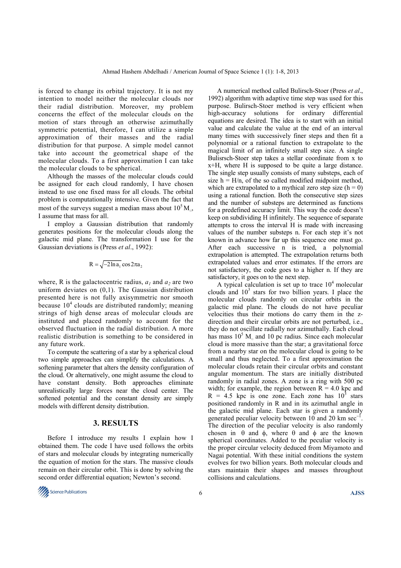is forced to change its orbital trajectory. It is not my intention to model neither the molecular clouds nor their radial distribution. Moreover, my problem concerns the effect of the molecular clouds on the motion of stars through an otherwise azimuthally symmetric potential, therefore, I can utilize a simple approximation of their masses and the radial distribution for that purpose. A simple model cannot take into account the geometrical shape of the molecular clouds. To a first approximation I can take the molecular clouds to be spherical.

Although the masses of the molecular clouds could be assigned for each cloud randomly, I have chosen instead to use one fixed mass for all clouds. The orbital problem is computationally intensive. Given the fact that most of the surveys suggest a median mass about  $10^5 M_{\odot}$ , I assume that mass for all.

I employ a Gaussian distribution that randomly generates positions for the molecular clouds along the galactic mid plane. The transformation I use for the Gaussian deviations is (Press *et al*., 1992):

$$
R = \sqrt{-2\ln a_1} \cos 2\pi a_2
$$

where, R is the galactocentric radius,  $a_1$  and  $a_2$  are two uniform deviates on (0,1). The Gaussian distribution presented here is not fully axisymmetric nor smooth because  $10<sup>4</sup>$  clouds are distributed randomly; meaning strings of high dense areas of molecular clouds are instituted and placed randomly to account for the observed fluctuation in the radial distribution. A more realistic distribution is something to be considered in any future work.

To compute the scattering of a star by a spherical cloud two simple approaches can simplify the calculations. A softening parameter that alters the density configuration of the cloud. Or alternatively, one might assume the cloud to have constant density. Both approaches eliminate unrealistically large forces near the cloud center. The softened potential and the constant density are simply models with different density distribution.

#### **3. RESULTS**

Before I introduce my results I explain how I obtained them. The code I have used follows the orbits of stars and molecular clouds by integrating numerically the equation of motion for the stars. The massive clouds remain on their circular orbit. This is done by solving the second order differential equation: Newton's second.

A numerical method called Bulirsch-Stoer (Press *et al*., 1992) algorithm with adaptive time step was used for this purpose. Bulirsch-Stoer method is very efficient when high-accuracy solutions for ordinary differential equations are desired. The idea is to start with an initial value and calculate the value at the end of an interval many times with successively finer steps and then fit a polynomial or a rational function to extrapolate to the magical limit of an infinitely small step size. A single Bulisrsch-Stoer step takes a stellar coordinate from x to x+H, where H is supposed to be quite a large distance. The single step usually consists of many substeps, each of size  $h = H/n$ , of the so called modified midpoint method, which are extrapolated to a mythical zero step size  $(h = 0)$ using a rational function. Both the consecutive step sizes and the number of substeps are determined as functions for a predefined accuracy limit. This way the code doesn't keep on subdividing H infinitely. The sequence of separate attempts to cross the interval H is made with increasing values of the number substeps n. For each step it's not known in advance how far up this sequence one must go. After each successive n is tried, a polynomial extrapolation is attempted. The extrapolation returns both extrapolated values and error estimates. If the errors are not satisfactory, the code goes to a higher n. If they are satisfactory, it goes on to the next step.

A typical calculation is set up to trace  $10<sup>4</sup>$  molecular clouds and  $10<sup>3</sup>$  stars for two billion years. I place the molecular clouds randomly on circular orbits in the galactic mid plane. The clouds do not have peculiar velocities thus their motions do carry them in the zdirection and their circular orbits are not perturbed, i.e., they do not oscillate radially nor azimuthally. Each cloud has mass  $10^5$  M<sub>o</sub> and 10 pc radius. Since each molecular cloud is more massive than the star; a gravitational force from a nearby star on the molecular cloud is going to be small and thus neglected. To a first approximation the molecular clouds retain their circular orbits and constant angular momentum. The stars are initially distributed randomly in radial zones. A zone is a ring with 500 pc width; for example, the region between  $R = 4.0$  kpc and  $R = 4.5$  kpc is one zone. Each zone has  $10<sup>3</sup>$  stars positioned randomly in R and in its azimuthal angle in the galactic mid plane. Each star is given a randomly generated peculiar velocity between  $10$  and  $20$  km sec<sup>-1</sup>. The direction of the peculiar velocity is also randomly chosen in  $θ$  and  $φ$ , where  $θ$  and  $φ$  are the known spherical coordinates. Added to the peculiar velocity is the proper circular velocity deduced from Miyamoto and Nagai potential. With these initial conditions the system evolves for two billion years. Both molecular clouds and stars maintain their shapes and masses throughout collisions and calculations.

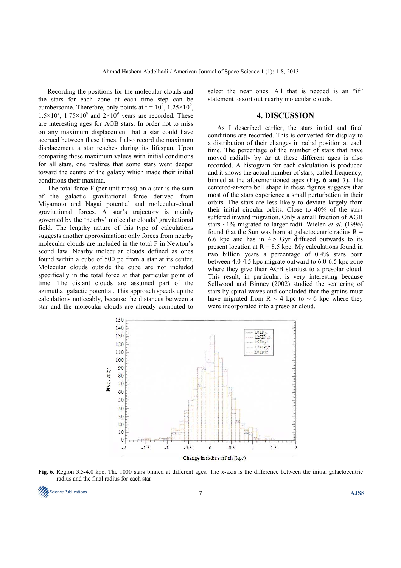Recording the positions for the molecular clouds and the stars for each zone at each time step can be cumbersome. Therefore, only points at  $t = 10^9$ ,  $1.25 \times 10^9$ ,  $1.5 \times 10^9$ ,  $1.75 \times 10^9$  and  $2 \times 10^9$  years are recorded. These are interesting ages for AGB stars. In order not to miss on any maximum displacement that a star could have accrued between these times, I also record the maximum displacement a star reaches during its lifespan. Upon comparing these maximum values with initial conditions for all stars, one realizes that some stars went deeper toward the centre of the galaxy which made their initial conditions their maxima.

The total force F (per unit mass) on a star is the sum of the galactic gravitational force derived from Miyamoto and Nagai potential and molecular-cloud gravitational forces. A star's trajectory is mainly governed by the 'nearby' molecular clouds' gravitational field. The lengthy nature of this type of calculations suggests another approximation: only forces from nearby molecular clouds are included in the total F in Newton's scond law. Nearby molecular clouds defined as ones found within a cube of 500 pc from a star at its center. Molecular clouds outside the cube are not included specifically in the total force at that particular point of time. The distant clouds are assumed part of the azimuthal galactic potential. This approach speeds up the calculations noticeably, because the distances between a star and the molecular clouds are already computed to

select the near ones. All that is needed is an "if" statement to sort out nearby molecular clouds.

## **4. DISCUSSION**

As I described earlier, the stars initial and final conditions are recorded. This is converted for display to a distribution of their changes in radial position at each time. The percentage of the number of stars that have moved radially by ∆r at these different ages is also recorded. A histogram for each calculation is produced and it shows the actual number of stars, called frequency, binned at the aforementioned ages (**Fig. 6 and 7**). The centered-at-zero bell shape in these figures suggests that most of the stars experience a small perturbation in their orbits. The stars are less likely to deviate largely from their initial circular orbits. Close to 40% of the stars suffered inward migration. Only a small fraction of AGB stars ~1% migrated to larger radii. Wielen *et al*. (1996) found that the Sun was born at galactocentric radius  $R =$ 6.6 kpc and has in 4.5 Gyr diffused outwards to its present location at  $R = 8.5$  kpc. My calculations found in two billion years a percentage of 0.4% stars born between 4.0-4.5 kpc migrate outward to 6.0-6.5 kpc zone where they give their AGB stardust to a presolar cloud. This result, in particular, is very interesting because Sellwood and Binney (2002) studied the scattering of stars by spiral waves and concluded that the grains must have migrated from R  $\sim$  4 kpc to  $\sim$  6 kpc where they were incorporated into a presolar cloud.



**Fig. 6.** Region 3.5-4.0 kpc. The 1000 stars binned at different ages. The x-axis is the difference between the initial galactocentric radius and the final radius for each star